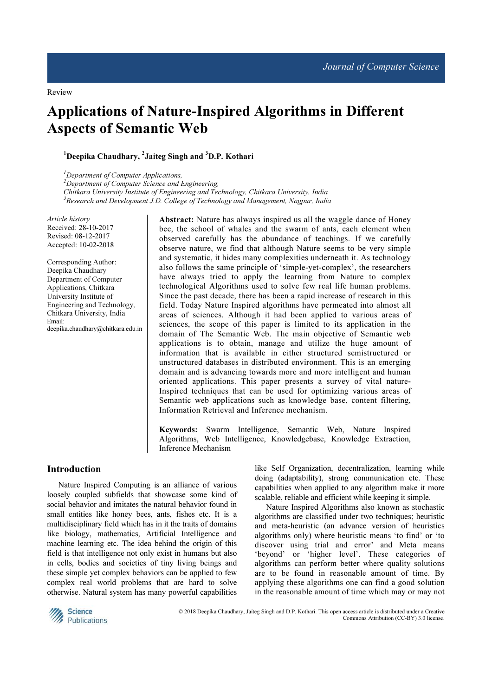# Applications of Nature-Inspired Algorithms in Different Aspects of Semantic Web

# $^1$ Deepika Chaudhary,  $^2$ Jaiteg Singh and  $^3$ D.P. Kothari

 $<sup>1</sup>$ Department of Computer Applications,</sup>  $2$ Department of Computer Science and Engineering, Chitkara University Institute of Engineering and Technology, Chitkara University, India  $3$ Research and Development J.D. College of Technology and Management, Nagpur, India

Article history Received: 28-10-2017 Revised: 08-12-2017 Accepted: 10-02-2018

Corresponding Author: Deepika Chaudhary Department of Computer Applications, Chitkara University Institute of Engineering and Technology, Chitkara University, India Email: deepika.chaudhary@chitkara.edu.in Abstract: Nature has always inspired us all the waggle dance of Honey bee, the school of whales and the swarm of ants, each element when observed carefully has the abundance of teachings. If we carefully observe nature, we find that although Nature seems to be very simple and systematic, it hides many complexities underneath it. As technology also follows the same principle of 'simple-yet-complex', the researchers have always tried to apply the learning from Nature to complex technological Algorithms used to solve few real life human problems. Since the past decade, there has been a rapid increase of research in this field. Today Nature Inspired algorithms have permeated into almost all areas of sciences. Although it had been applied to various areas of sciences, the scope of this paper is limited to its application in the domain of The Semantic Web. The main objective of Semantic web applications is to obtain, manage and utilize the huge amount of information that is available in either structured semistructured or unstructured databases in distributed environment. This is an emerging domain and is advancing towards more and more intelligent and human oriented applications. This paper presents a survey of vital nature-Inspired techniques that can be used for optimizing various areas of Semantic web applications such as knowledge base, content filtering, Information Retrieval and Inference mechanism.

Keywords: Swarm Intelligence, Semantic Web, Nature Inspired Algorithms, Web Intelligence, Knowledgebase, Knowledge Extraction, Inference Mechanism

# Introduction

Nature Inspired Computing is an alliance of various loosely coupled subfields that showcase some kind of social behavior and imitates the natural behavior found in small entities like honey bees, ants, fishes etc. It is a multidisciplinary field which has in it the traits of domains like biology, mathematics, Artificial Intelligence and machine learning etc. The idea behind the origin of this field is that intelligence not only exist in humans but also in cells, bodies and societies of tiny living beings and these simple yet complex behaviors can be applied to few complex real world problems that are hard to solve otherwise. Natural system has many powerful capabilities

like Self Organization, decentralization, learning while doing (adaptability), strong communication etc. These capabilities when applied to any algorithm make it more scalable, reliable and efficient while keeping it simple.

Nature Inspired Algorithms also known as stochastic algorithms are classified under two techniques; heuristic and meta-heuristic (an advance version of heuristics algorithms only) where heuristic means 'to find' or 'to discover using trial and error' and Meta means 'beyond' or 'higher level'. These categories of algorithms can perform better where quality solutions are to be found in reasonable amount of time. By applying these algorithms one can find a good solution in the reasonable amount of time which may or may not



 © 2018 Deepika Chaudhary, Jaiteg Singh and D.P. Kothari. This open access article is distributed under a Creative Commons Attribution (CC-BY) 3.0 license.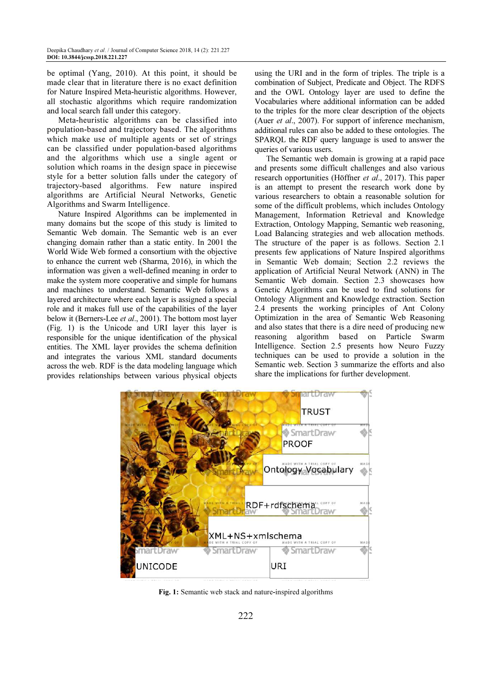be optimal (Yang, 2010). At this point, it should be made clear that in literature there is no exact definition for Nature Inspired Meta-heuristic algorithms. However, all stochastic algorithms which require randomization and local search fall under this category.

Meta-heuristic algorithms can be classified into population-based and trajectory based. The algorithms which make use of multiple agents or set of strings can be classified under population-based algorithms and the algorithms which use a single agent or solution which roams in the design space in piecewise style for a better solution falls under the category of trajectory-based algorithms. Few nature inspired algorithms are Artificial Neural Networks, Genetic Algorithms and Swarm Intelligence.

Nature Inspired Algorithms can be implemented in many domains but the scope of this study is limited to Semantic Web domain. The Semantic web is an ever changing domain rather than a static entity. In 2001 the World Wide Web formed a consortium with the objective to enhance the current web (Sharma, 2016), in which the information was given a well-defined meaning in order to make the system more cooperative and simple for humans and machines to understand. Semantic Web follows a layered architecture where each layer is assigned a special role and it makes full use of the capabilities of the layer below it (Berners-Lee et al., 2001). The bottom most layer (Fig. 1) is the Unicode and URI layer this layer is responsible for the unique identification of the physical entities. The XML layer provides the schema definition and integrates the various XML standard documents across the web. RDF is the data modeling language which provides relationships between various physical objects

using the URI and in the form of triples. The triple is a combination of Subject, Predicate and Object. The RDFS and the OWL Ontology layer are used to define the Vocabularies where additional information can be added to the triples for the more clear description of the objects (Auer et al., 2007). For support of inference mechanism, additional rules can also be added to these ontologies. The SPARQL the RDF query language is used to answer the queries of various users.

The Semantic web domain is growing at a rapid pace and presents some difficult challenges and also various research opportunities (Höffner et al., 2017). This paper is an attempt to present the research work done by various researchers to obtain a reasonable solution for some of the difficult problems, which includes Ontology Management, Information Retrieval and Knowledge Extraction, Ontology Mapping, Semantic web reasoning, Load Balancing strategies and web allocation methods. The structure of the paper is as follows. Section 2.1 presents few applications of Nature Inspired algorithms in Semantic Web domain; Section 2.2 reviews the application of Artificial Neural Network (ANN) in The Semantic Web domain. Section 2.3 showcases how Genetic Algorithms can be used to find solutions for Ontology Alignment and Knowledge extraction. Section 2.4 presents the working principles of Ant Colony Optimization in the area of Semantic Web Reasoning and also states that there is a dire need of producing new reasoning algorithm based on Particle Swarm Intelligence. Section 2.5 presents how Neuro Fuzzy techniques can be used to provide a solution in the Semantic web. Section 3 summarize the efforts and also share the implications for further development.



Fig. 1: Semantic web stack and nature-inspired algorithms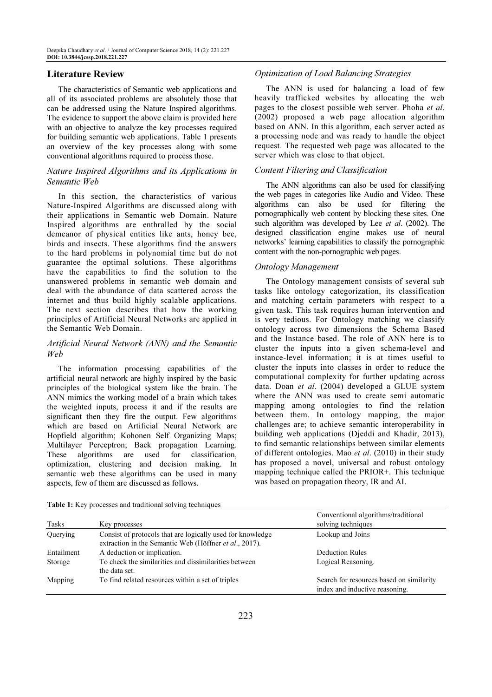# Literature Review

The characteristics of Semantic web applications and all of its associated problems are absolutely those that can be addressed using the Nature Inspired algorithms. The evidence to support the above claim is provided here with an objective to analyze the key processes required for building semantic web applications. Table 1 presents an overview of the key processes along with some conventional algorithms required to process those.

# Nature Inspired Algorithms and its Applications in Semantic Web

In this section, the characteristics of various Nature-Inspired Algorithms are discussed along with their applications in Semantic web Domain. Nature Inspired algorithms are enthralled by the social demeanor of physical entities like ants, honey bee, birds and insects. These algorithms find the answers to the hard problems in polynomial time but do not guarantee the optimal solutions. These algorithms have the capabilities to find the solution to the unanswered problems in semantic web domain and deal with the abundance of data scattered across the internet and thus build highly scalable applications. The next section describes that how the working principles of Artificial Neural Networks are applied in the Semantic Web Domain.

# Artificial Neural Network (ANN) and the Semantic Web

The information processing capabilities of the artificial neural network are highly inspired by the basic principles of the biological system like the brain. The ANN mimics the working model of a brain which takes the weighted inputs, process it and if the results are significant then they fire the output. Few algorithms which are based on Artificial Neural Network are Hopfield algorithm; Kohonen Self Organizing Maps; Multilayer Perceptron; Back propagation Learning. These algorithms are used for classification, optimization, clustering and decision making. In semantic web these algorithms can be used in many aspects, few of them are discussed as follows.

# Optimization of Load Balancing Strategies

The ANN is used for balancing a load of few heavily trafficked websites by allocating the web pages to the closest possible web server. Phoha et al. (2002) proposed a web page allocation algorithm based on ANN. In this algorithm, each server acted as a processing node and was ready to handle the object request. The requested web page was allocated to the server which was close to that object.

# Content Filtering and Classification

The ANN algorithms can also be used for classifying the web pages in categories like Audio and Video. These algorithms can also be used for filtering the pornographically web content by blocking these sites. One such algorithm was developed by Lee et al. (2002). The designed classification engine makes use of neural networks' learning capabilities to classify the pornographic content with the non-pornographic web pages.

# Ontology Management

The Ontology management consists of several sub tasks like ontology categorization, its classification and matching certain parameters with respect to a given task. This task requires human intervention and is very tedious. For Ontology matching we classify ontology across two dimensions the Schema Based and the Instance based. The role of ANN here is to cluster the inputs into a given schema-level and instance-level information; it is at times useful to cluster the inputs into classes in order to reduce the computational complexity for further updating across data. Doan et al. (2004) developed a GLUE system where the ANN was used to create semi automatic mapping among ontologies to find the relation between them. In ontology mapping, the major challenges are; to achieve semantic interoperability in building web applications (Djeddi and Khadir, 2013), to find semantic relationships between similar elements of different ontologies. Mao et al. (2010) in their study has proposed a novel, universal and robust ontology mapping technique called the PRIOR+. This technique was based on propagation theory, IR and AI.

| Tasks      | Key processes                                                                                                        | Conventional algorithms/traditional<br>solving techniques                  |
|------------|----------------------------------------------------------------------------------------------------------------------|----------------------------------------------------------------------------|
| Querying   | Consist of protocols that are logically used for knowledge<br>extraction in the Semantic Web (Höffner et al., 2017). | Lookup and Joins                                                           |
| Entailment | A deduction or implication.                                                                                          | Deduction Rules                                                            |
| Storage    | To check the similarities and dissimilarities between<br>the data set.                                               | Logical Reasoning.                                                         |
| Mapping    | To find related resources within a set of triples                                                                    | Search for resources based on similarity<br>index and inductive reasoning. |

Table 1: Key processes and traditional solving techniques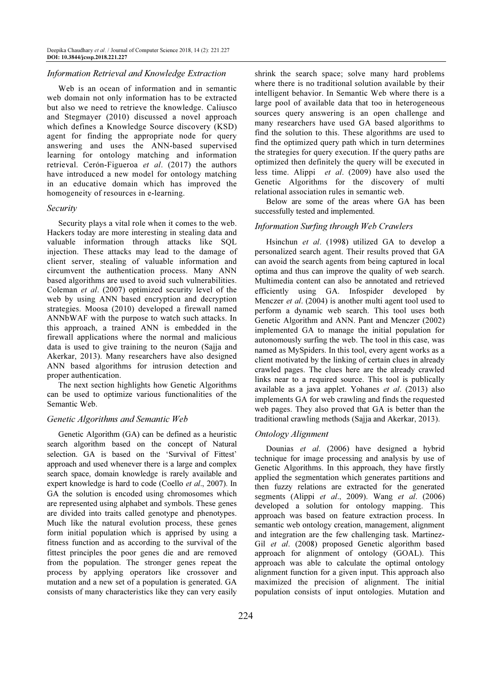## Information Retrieval and Knowledge Extraction

Web is an ocean of information and in semantic web domain not only information has to be extracted but also we need to retrieve the knowledge. Caliusco and Stegmayer (2010) discussed a novel approach which defines a Knowledge Source discovery (KSD) agent for finding the appropriate node for query answering and uses the ANN-based supervised learning for ontology matching and information retrieval. Cerón-Figueroa et al. (2017) the authors have introduced a new model for ontology matching in an educative domain which has improved the homogeneity of resources in e-learning.

#### Security

Security plays a vital role when it comes to the web. Hackers today are more interesting in stealing data and valuable information through attacks like SQL injection. These attacks may lead to the damage of client server, stealing of valuable information and circumvent the authentication process. Many ANN based algorithms are used to avoid such vulnerabilities. Coleman et al. (2007) optimized security level of the web by using ANN based encryption and decryption strategies. Moosa (2010) developed a firewall named ANNbWAF with the purpose to watch such attacks. In this approach, a trained ANN is embedded in the firewall applications where the normal and malicious data is used to give training to the neuron (Sajja and Akerkar, 2013). Many researchers have also designed ANN based algorithms for intrusion detection and proper authentication.

The next section highlights how Genetic Algorithms can be used to optimize various functionalities of the Semantic Web.

#### Genetic Algorithms and Semantic Web

Genetic Algorithm (GA) can be defined as a heuristic search algorithm based on the concept of Natural selection. GA is based on the 'Survival of Fittest' approach and used whenever there is a large and complex search space, domain knowledge is rarely available and expert knowledge is hard to code (Coello et al., 2007). In GA the solution is encoded using chromosomes which are represented using alphabet and symbols. These genes are divided into traits called genotype and phenotypes. Much like the natural evolution process, these genes form initial population which is apprised by using a fitness function and as according to the survival of the fittest principles the poor genes die and are removed from the population. The stronger genes repeat the process by applying operators like crossover and mutation and a new set of a population is generated. GA consists of many characteristics like they can very easily

shrink the search space; solve many hard problems where there is no traditional solution available by their intelligent behavior. In Semantic Web where there is a large pool of available data that too in heterogeneous sources query answering is an open challenge and many researchers have used GA based algorithms to find the solution to this. These algorithms are used to find the optimized query path which in turn determines the strategies for query execution. If the query paths are optimized then definitely the query will be executed in less time. Alippi et al. (2009) have also used the Genetic Algorithms for the discovery of multi relational association rules in semantic web.

Below are some of the areas where GA has been successfully tested and implemented.

# Information Surfing through Web Crawlers

Hsinchun et al. (1998) utilized GA to develop a personalized search agent. Their results proved that GA can avoid the search agents from being captured in local optima and thus can improve the quality of web search. Multimedia content can also be annotated and retrieved efficiently using GA. Infospider developed by Menczer *et al.* (2004) is another multi agent tool used to perform a dynamic web search. This tool uses both Genetic Algorithm and ANN. Pant and Menczer (2002) implemented GA to manage the initial population for autonomously surfing the web. The tool in this case, was named as MySpiders. In this tool, every agent works as a client motivated by the linking of certain clues in already crawled pages. The clues here are the already crawled links near to a required source. This tool is publically available as a java applet. Yohanes et al. (2013) also implements GA for web crawling and finds the requested web pages. They also proved that GA is better than the traditional crawling methods (Sajja and Akerkar, 2013).

#### Ontology Alignment

Dounias et al. (2006) have designed a hybrid technique for image processing and analysis by use of Genetic Algorithms. In this approach, they have firstly applied the segmentation which generates partitions and then fuzzy relations are extracted for the generated segments (Alippi et al., 2009). Wang et al.  $(2006)$ developed a solution for ontology mapping. This approach was based on feature extraction process. In semantic web ontology creation, management, alignment and integration are the few challenging task. Martinez-Gil et al. (2008) proposed Genetic algorithm based approach for alignment of ontology (GOAL). This approach was able to calculate the optimal ontology alignment function for a given input. This approach also maximized the precision of alignment. The initial population consists of input ontologies. Mutation and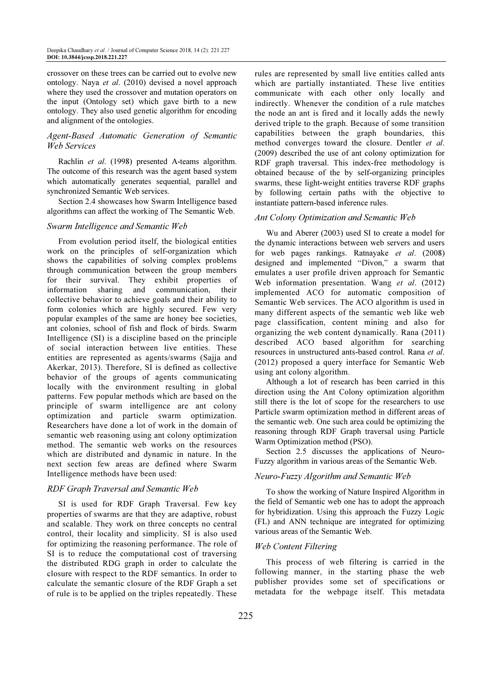crossover on these trees can be carried out to evolve new ontology. Naya et al. (2010) devised a novel approach where they used the crossover and mutation operators on the input (Ontology set) which gave birth to a new ontology. They also used genetic algorithm for encoding and alignment of the ontologies.

# Agent-Based Automatic Generation of Semantic Web Services

Rachlin et al. (1998) presented A-teams algorithm. The outcome of this research was the agent based system which automatically generates sequential, parallel and synchronized Semantic Web services.

Section 2.4 showcases how Swarm Intelligence based algorithms can affect the working of The Semantic Web.

#### Swarm Intelligence and Semantic Web

From evolution period itself, the biological entities work on the principles of self-organization which shows the capabilities of solving complex problems through communication between the group members for their survival. They exhibit properties of information sharing and communication, their collective behavior to achieve goals and their ability to form colonies which are highly secured. Few very popular examples of the same are honey bee societies, ant colonies, school of fish and flock of birds. Swarm Intelligence (SI) is a discipline based on the principle of social interaction between live entities. These entities are represented as agents/swarms (Sajja and Akerkar, 2013). Therefore, SI is defined as collective behavior of the groups of agents communicating locally with the environment resulting in global patterns. Few popular methods which are based on the principle of swarm intelligence are ant colony optimization and particle swarm optimization. Researchers have done a lot of work in the domain of semantic web reasoning using ant colony optimization method. The semantic web works on the resources which are distributed and dynamic in nature. In the next section few areas are defined where Swarm Intelligence methods have been used:

## RDF Graph Traversal and Semantic Web

SI is used for RDF Graph Traversal. Few key properties of swarms are that they are adaptive, robust and scalable. They work on three concepts no central control, their locality and simplicity. SI is also used for optimizing the reasoning performance. The role of SI is to reduce the computational cost of traversing the distributed RDG graph in order to calculate the closure with respect to the RDF semantics. In order to calculate the semantic closure of the RDF Graph a set of rule is to be applied on the triples repeatedly. These

rules are represented by small live entities called ants which are partially instantiated. These live entities communicate with each other only locally and indirectly. Whenever the condition of a rule matches the node an ant is fired and it locally adds the newly derived triple to the graph. Because of some transition capabilities between the graph boundaries, this method converges toward the closure. Dentler et al. (2009) described the use of ant colony optimization for RDF graph traversal. This index-free methodology is obtained because of the by self-organizing principles swarms, these light-weight entities traverse RDF graphs by following certain paths with the objective to instantiate pattern-based inference rules.

#### Ant Colony Optimization and Semantic Web

Wu and Aberer (2003) used SI to create a model for the dynamic interactions between web servers and users for web pages rankings. Ratnayake et al. (2008) designed and implemented "Divon," a swarm that emulates a user profile driven approach for Semantic Web information presentation. Wang et al. (2012) implemented ACO for automatic composition of Semantic Web services. The ACO algorithm is used in many different aspects of the semantic web like web page classification, content mining and also for organizing the web content dynamically. Rana (2011) described ACO based algorithm for searching resources in unstructured ants-based control. Rana et al. (2012) proposed a query interface for Semantic Web using ant colony algorithm.

Although a lot of research has been carried in this direction using the Ant Colony optimization algorithm still there is the lot of scope for the researchers to use Particle swarm optimization method in different areas of the semantic web. One such area could be optimizing the reasoning through RDF Graph traversal using Particle Warm Optimization method (PSO).

Section 2.5 discusses the applications of Neuro-Fuzzy algorithm in various areas of the Semantic Web.

## Neuro-Fuzzy Algorithm and Semantic Web

To show the working of Nature Inspired Algorithm in the field of Semantic web one has to adopt the approach for hybridization. Using this approach the Fuzzy Logic (FL) and ANN technique are integrated for optimizing various areas of the Semantic Web.

#### Web Content Filtering

This process of web filtering is carried in the following manner, in the starting phase the web publisher provides some set of specifications or metadata for the webpage itself. This metadata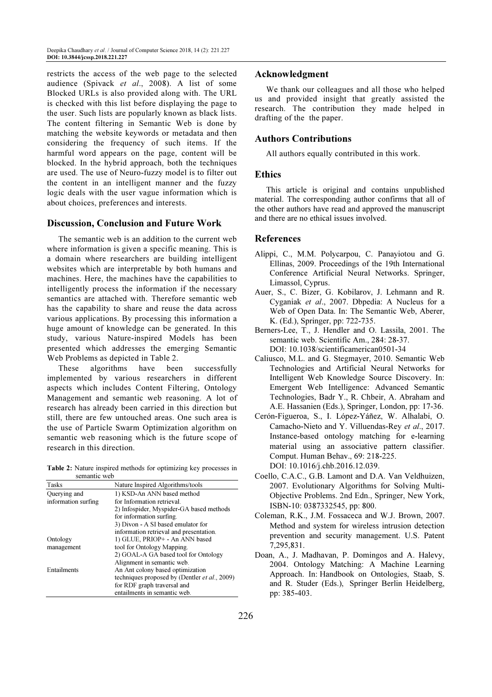restricts the access of the web page to the selected audience (Spivack et al., 2008). A list of some Blocked URLs is also provided along with. The URL is checked with this list before displaying the page to the user. Such lists are popularly known as black lists. The content filtering in Semantic Web is done by matching the website keywords or metadata and then considering the frequency of such items. If the harmful word appears on the page, content will be blocked. In the hybrid approach, both the techniques are used. The use of Neuro-fuzzy model is to filter out the content in an intelligent manner and the fuzzy logic deals with the user vague information which is about choices, preferences and interests.

# Discussion, Conclusion and Future Work

The semantic web is an addition to the current web where information is given a specific meaning. This is a domain where researchers are building intelligent websites which are interpretable by both humans and machines. Here, the machines have the capabilities to intelligently process the information if the necessary semantics are attached with. Therefore semantic web has the capability to share and reuse the data across various applications. By processing this information a huge amount of knowledge can be generated. In this study, various Nature-inspired Models has been presented which addresses the emerging Semantic Web Problems as depicted in Table 2.

These algorithms have been successfully implemented by various researchers in different aspects which includes Content Filtering, Ontology Management and semantic web reasoning. A lot of research has already been carried in this direction but still, there are few untouched areas. One such area is the use of Particle Swarm Optimization algorithm on semantic web reasoning which is the future scope of research in this direction.

Table 2: Nature inspired methods for optimizing key processes in semantic web

| Tasks               | Nature Inspired Algorithms/tools                      |
|---------------------|-------------------------------------------------------|
| Querying and        | 1) KSD-An ANN based method                            |
| information surfing | for Information retrieval.                            |
|                     | 2) Infospider, Myspider-GA based methods              |
|                     | for information surfing.                              |
|                     | 3) Divon - A SI based emulator for                    |
|                     | information retrieval and presentation.               |
| Ontology            | 1) GLUE, PRIOP+ - An ANN based                        |
| management          | tool for Ontology Mapping.                            |
|                     | 2) GOAL-A GA based tool for Ontology                  |
|                     | Alignment in semantic web.                            |
| Entailments         | An Ant colony based optimization                      |
|                     | techniques proposed by (Dentler <i>et al.</i> , 2009) |
|                     | for RDF graph traversal and                           |
|                     | entailments in semantic web.                          |

# Acknowledgment

We thank our colleagues and all those who helped us and provided insight that greatly assisted the research. The contribution they made helped in drafting of the the paper.

# Authors Contributions

All authors equally contributed in this work.

# **Ethics**

This article is original and contains unpublished material. The corresponding author confirms that all of the other authors have read and approved the manuscript and there are no ethical issues involved.

# References

- Alippi, C., M.M. Polycarpou, C. Panayiotou and G. Ellinas, 2009. Proceedings of the 19th International Conference Artificial Neural Networks. Springer, Limassol, Cyprus.
- Auer, S., C. Bizer, G. Kobilarov, J. Lehmann and R. Cyganiak et al., 2007. Dbpedia: A Nucleus for a Web of Open Data. In: The Semantic Web, Aberer, K. (Ed.), Springer, pp: 722-735.
- Berners-Lee, T., J. Hendler and O. Lassila, 2001. The semantic web. Scientific Am., 284: 28-37. DOI: 10.1038/scientificamerican0501-34
- Caliusco, M.L. and G. Stegmayer, 2010. Semantic Web Technologies and Artificial Neural Networks for Intelligent Web Knowledge Source Discovery. In: Emergent Web Intelligence: Advanced Semantic Technologies, Badr Y., R. Chbeir, A. Abraham and A.E. Hassanien (Eds.), Springer, London, pp: 17-36.
- Cerón-Figueroa, S., I. López-Yáñez, W. Alhalabi, O. Camacho-Nieto and Y. Villuendas-Rey et al., 2017. Instance-based ontology matching for e-learning material using an associative pattern classifier. Comput. Human Behav., 69: 218-225. DOI: 10.1016/j.chb.2016.12.039.
- Coello, C.A.C., G.B. Lamont and D.A. Van Veldhuizen, 2007. Evolutionary Algorithms for Solving Multi-Objective Problems. 2nd Edn., Springer, New York, ISBN-10: 0387332545, pp: 800.
- Coleman, R.K., J.M. Fossaceca and W.J. Brown, 2007. Method and system for wireless intrusion detection prevention and security management. U.S. Patent 7,295,831.
- Doan, A., J. Madhavan, P. Domingos and A. Halevy, 2004. Ontology Matching: A Machine Learning Approach. In: Handbook on Ontologies, Staab, S. and R. Studer (Eds.), Springer Berlin Heidelberg, pp: 385-403.